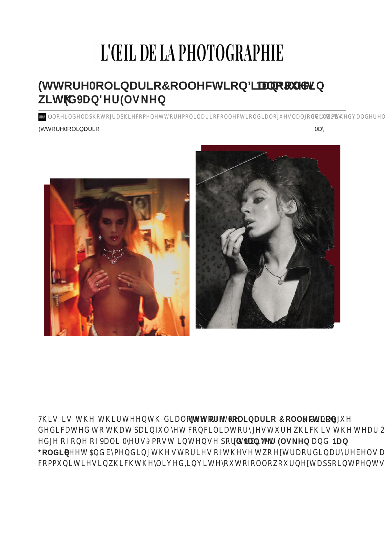## L'ŒIL DE LA PHOTOGRAPHIE

ONP